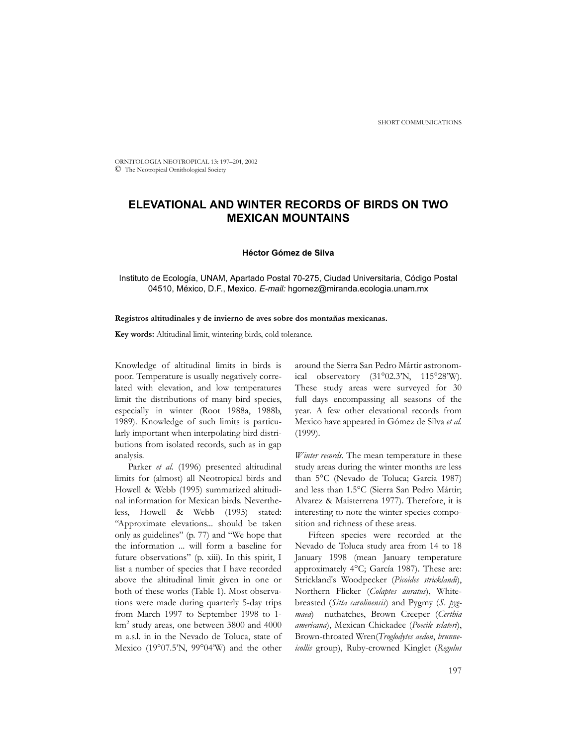ORNITOLOGIA NEOTROPICAL 13: 197–201, 2002 © The Neotropical Ornithological Society

# **ELEVATIONAL AND WINTER RECORDS OF BIRDS ON TWO MEXICAN MOUNTAINS**

#### **Héctor Gómez de Silva**

Instituto de Ecología, UNAM, Apartado Postal 70-275, Ciudad Universitaria, Código Postal 04510, México, D.F., Mexico. *E-mail:* hgomez@miranda.ecologia.unam.mx

### **Registros altitudinales y de invierno de aves sobre dos montañas mexicanas.**

**Key words:** Altitudinal limit, wintering birds, cold tolerance.

Knowledge of altitudinal limits in birds is poor. Temperature is usually negatively correlated with elevation, and low temperatures limit the distributions of many bird species, especially in winter (Root 1988a, 1988b, 1989). Knowledge of such limits is particularly important when interpolating bird distributions from isolated records, such as in gap analysis.

Parker et al. (1996) presented altitudinal limits for (almost) all Neotropical birds and Howell & Webb (1995) summarized altitudinal information for Mexican birds. Nevertheless, Howell & Webb (1995) stated: "Approximate elevations... should be taken only as guidelines" (p. 77) and "We hope that the information ... will form a baseline for future observations" (p. xiii). In this spirit, I list a number of species that I have recorded above the altitudinal limit given in one or both of these works (Table 1). Most observations were made during quarterly 5-day trips from March 1997 to September 1998 to 1 km<sup>2</sup> study areas, one between 3800 and 4000 m a.s.l. in in the Nevado de Toluca, state of Mexico (19°07.5'N, 99°04'W) and the other around the Sierra San Pedro Mártir astronomical observatory (31°02.3'N, 115°28'W). These study areas were surveyed for 30 full days encompassing all seasons of the year. A few other elevational records from Mexico have appeared in Gómez de Silva *et al*. (1999).

*Winter records.* The mean temperature in these study areas during the winter months are less than 5°C (Nevado de Toluca; García 1987) and less than 1.5°C (Sierra San Pedro Mártir; Alvarez & Maisterrena 1977). Therefore, it is interesting to note the winter species composition and richness of these areas.

Fifteen species were recorded at the Nevado de Toluca study area from 14 to 18 January 1998 (mean January temperature approximately 4°C; García 1987). These are: Strickland's Woodpecker (*Picoides stricklandi*), Northern Flicker (*Colaptes auratus*), Whitebreasted (*Sitta carolinensis*) and Pygmy (*S. pygmaea*) nuthatches, Brown Creeper (*Certhia americana*), Mexican Chickadee (*Poecile sclateri*), Brown-throated Wren(*Troglodytes aedon*, *brunneicollis* group), Ruby-crowned Kinglet (*Regulus*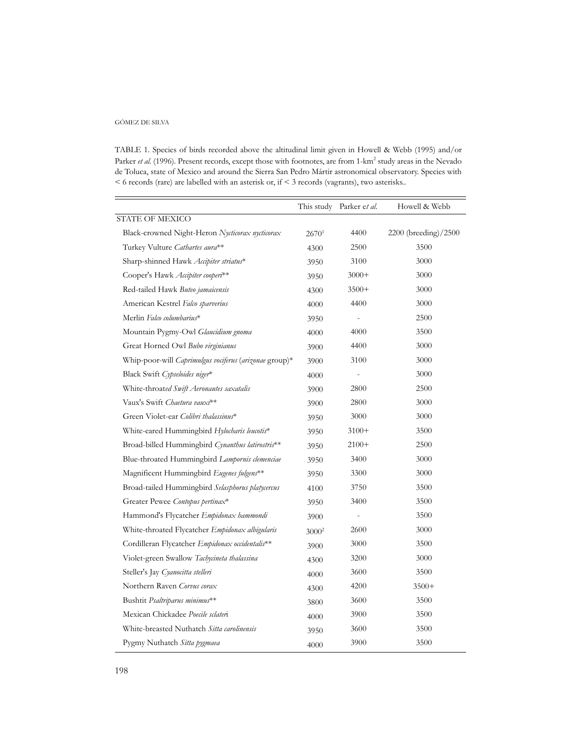## GÓMEZ DE SILVA

TABLE 1. Species of birds recorded above the altitudinal limit given in Howell & Webb (1995) and/or Parker et al. (1996). Present records, except those with footnotes, are from 1-km<sup>2</sup> study areas in the Nevado de Toluca, state of Mexico and around the Sierra San Pedro Mártir astronomical observatory. Species with < 6 records (rare) are labelled with an asterisk or, if < 3 records (vagrants), two asterisks..

|                                                        | This study | Parker et al.            | Howell & Webb        |
|--------------------------------------------------------|------------|--------------------------|----------------------|
| STATE OF MEXICO                                        |            |                          |                      |
| Black-crowned Night-Heron Nycticorax nycticorax        | $2670^1$   | 4400                     | 2200 (breeding)/2500 |
| Turkey Vulture Cathartes aura**                        | 4300       | 2500                     | 3500                 |
| Sharp-shinned Hawk Accipiter striatus*                 | 3950       | 3100                     | 3000                 |
| Cooper's Hawk Accipiter cooperi**                      | 3950       | $3000+$                  | 3000                 |
| Red-tailed Hawk Buteo jamaicensis                      | 4300       | $3500+$                  | 3000                 |
| American Kestrel Falco sparverius                      | 4000       | 4400                     | 3000                 |
| Merlin Falco columbarius*                              | 3950       | $\overline{\phantom{0}}$ | 2500                 |
| Mountain Pygmy-Owl Glaucidium gnoma                    | 4000       | 4000                     | 3500                 |
| Great Horned Owl Bubo virginianus                      | 3900       | 4400                     | 3000                 |
| Whip-poor-will Caprimulgus vociferus (arizonae group)* | 3900       | 3100                     | 3000                 |
| Black Swift Cypseloides niger*                         | 4000       |                          | 3000                 |
| White-throated Swift Aeronautes saxatalis              | 3900       | 2800                     | 2500                 |
| Vaux's Swift Chaetura vauxi**                          | 3900       | 2800                     | 3000                 |
| Green Violet-ear Colibri thalassinus*                  | 3950       | 3000                     | 3000                 |
| White-eared Hummingbird Hylocharis leucotis*           | 3950       | 3100+                    | 3500                 |
| Broad-billed Hummingbird Cynanthus latirostris**       | 3950       | $2100+$                  | 2500                 |
| Blue-throated Hummingbird Lampornis clemenciae         | 3950       | 3400                     | 3000                 |
| Magnificent Hummingbird Eugenes fulgens**              | 3950       | 3300                     | 3000                 |
| Broad-tailed Hummingbird Selasphorus platycercus       | 4100       | 3750                     | 3500                 |
| Greater Pewee Contopus pertinax*                       | 3950       | 3400                     | 3500                 |
| Hammond's Flycatcher Empidonax hammondi                | 3900       |                          | 3500                 |
| White-throated Flycatcher Empidonax albigularis        | $3000^2$   | 2600                     | 3000                 |
| Cordilleran Flycatcher Empidonax occidentalis**        | 3900       | 3000                     | 3500                 |
| Violet-green Swallow Tachycineta thalassina            | 4300       | 3200                     | 3000                 |
| Steller's Jay Cyanocitta stelleri                      | 4000       | 3600                     | 3500                 |
| Northern Raven Corvus corax                            | 4300       | 4200                     | $3500+$              |
| Bushtit Psaltriparus minimus**                         | 3800       | 3600                     | 3500                 |
| Mexican Chickadee Poecile sclateri                     | 4000       | 3900                     | 3500                 |
| White-breasted Nuthatch Sitta carolinensis             | 3950       | 3600                     | 3500                 |
| Pygmy Nuthatch Sitta pygmaea                           | 4000       | 3900                     | 3500                 |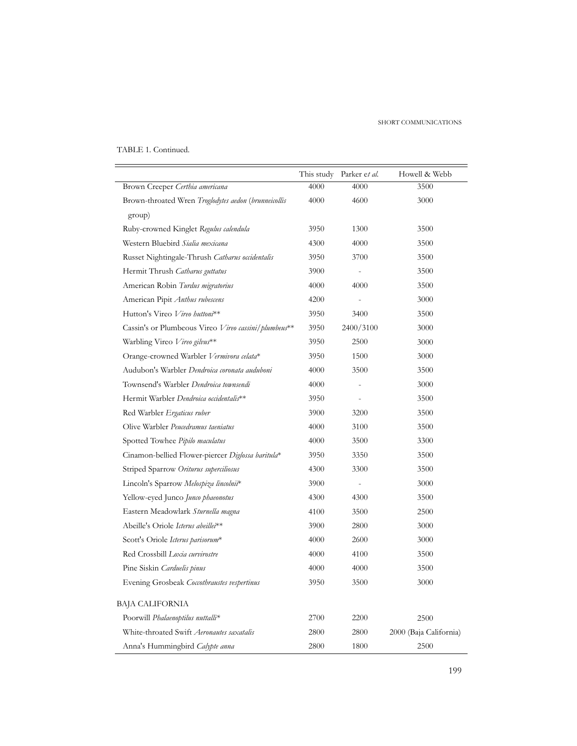### SHORT COMMUNICATIONS

# TABLE 1. Continued.

|                                                      | This study | Parker et al. | Howell & Webb          |
|------------------------------------------------------|------------|---------------|------------------------|
| Brown Creeper Certhia americana                      | 4000       | 4000          | 3500                   |
| Brown-throated Wren Troglodytes aedon (brunneicollis | 4000       | 4600          | 3000                   |
| group)                                               |            |               |                        |
| Ruby-crowned Kinglet Regulus calendula               | 3950       | 1300          | 3500                   |
| Western Bluebird Stalia mexicana                     | 4300       | 4000          | 3500                   |
| Russet Nightingale-Thrush Catharus occidentalis      | 3950       | 3700          | 3500                   |
| Hermit Thrush Catharus guttatus                      | 3900       |               | 3500                   |
| American Robin Turdus migratorius                    | 4000       | 4000          | 3500                   |
| American Pipit Anthus rubescens                      | 4200       |               | 3000                   |
| Hutton's Vireo Vireo huttoni**                       | 3950       | 3400          | 3500                   |
| Cassin's or Plumbeous Vireo Vireo cassini/plumbeus** | 3950       | 2400/3100     | 3000                   |
| Warbling Vireo Vireo gilvus**                        | 3950       | 2500          | 3000                   |
| Orange-crowned Warbler Vermivora celata*             | 3950       | 1500          | 3000                   |
| Audubon's Warbler Dendroica coronata auduboni        | 4000       | 3500          | 3500                   |
| Townsend's Warbler Dendroica townsendi               | 4000       |               | 3000                   |
| Hermit Warbler Dendroica occidentalis**              | 3950       |               | 3500                   |
| Red Warbler Ergaticus ruber                          | 3900       | 3200          | 3500                   |
| Olive Warbler Peucedramus taeniatus                  | 4000       | 3100          | 3500                   |
| Spotted Towhee Pipilo maculatus                      | 4000       | 3500          | 3300                   |
| Cinamon-bellied Flower-piercer Diglossa baritula*    | 3950       | 3350          | 3500                   |
| Striped Sparrow Oriturus superciliosus               | 4300       | 3300          | 3500                   |
| Lincoln's Sparrow Melospiza lincolnii*               | 3900       |               | 3000                   |
| Yellow-eyed Junco Junco phaeonotus                   | 4300       | 4300          | 3500                   |
| Eastern Meadowlark Sturnella magna                   | 4100       | 3500          | 2500                   |
| Abeille's Oriole Icterus abeillei**                  | 3900       | 2800          | 3000                   |
| Scott's Oriole Icterus parisorum*                    | 4000       | 2600          | 3000                   |
| Red Crossbill Loxia curvirostre                      | 4000       | 4100          | 3500                   |
| Pine Siskin Carduelis pinus                          | 4000       | 4000          | 3500                   |
| Evening Grosbeak Coccothraustes vespertinus          | 3950       | 3500          | 3000                   |
| BAJA CALIFORNIA                                      |            |               |                        |
| Poorwill Phalaenoptilus nuttalli*                    | 2700       | 2200          | 2500                   |
| White-throated Swift <i>Aeronautes saxatalis</i>     | 2800       | 2800          | 2000 (Baja California) |
| Anna's Hummingbird Calypte anna                      | 2800       | 1800          | 2500                   |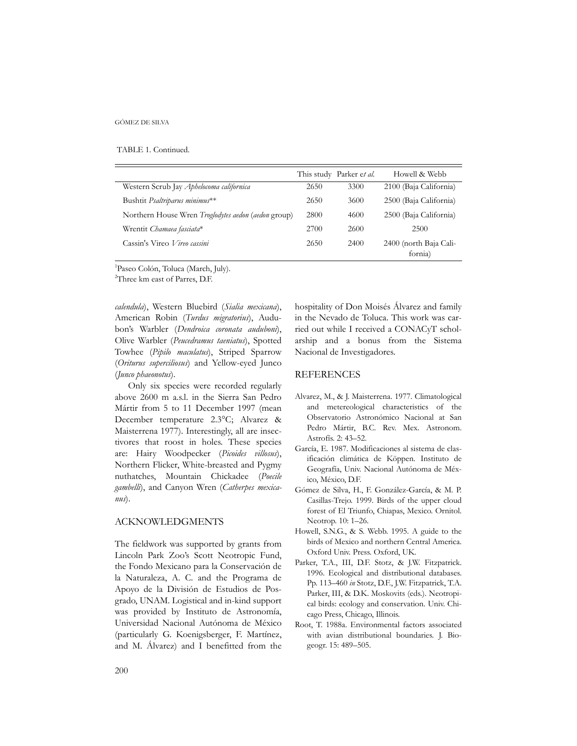### GÓMEZ DE SILVA

## TABLE 1. Continued.

|                                                            |      | This study Parker et al. | Howell & Webb                     |
|------------------------------------------------------------|------|--------------------------|-----------------------------------|
| Western Scrub Jay Aphelocoma californica                   | 2650 | 3300                     | 2100 (Baja California)            |
| Bushtit Psaltriparus minimus**                             | 2650 | 3600                     | 2500 (Baja California)            |
| Northern House Wren <i>Troglodytes aedon</i> (aedon group) | 2800 | 4600                     | 2500 (Baja California)            |
| Wrentit Chamaea fasciata*                                  | 2700 | 2600                     | 2500                              |
| Cassin's Vireo Vireo cassini                               | 2650 | 2400                     | 2400 (north Baja Cali-<br>fornia) |

1 Paseo Colón, Toluca (March, July).

2 Three km east of Parres, D.F.

*calendula*), Western Bluebird (*Sialia mexicana*), American Robin (*Turdus migratorius*), Audubon's Warbler (*Dendroica coronata auduboni*), Olive Warbler (*Peucedramus taeniatus*), Spotted Towhee (*Pipilo maculatus*), Striped Sparrow (*Oriturus superciliosus*) and Yellow-eyed Junco (*Junco phaeonotus*).

Only six species were recorded regularly above 2600 m a.s.l. in the Sierra San Pedro Mártir from 5 to 11 December 1997 (mean December temperature 2.3°C; Alvarez & Maisterrena 1977). Interestingly, all are insectivores that roost in holes. These species are: Hairy Woodpecker (*Picoides villosus*), Northern Flicker, White-breasted and Pygmy nuthatches, Mountain Chickadee (*Poecile gambelli*), and Canyon Wren (*Catherpes mexicanus*).

# ACKNOWLEDGMENTS

The fieldwork was supported by grants from Lincoln Park Zoo's Scott Neotropic Fund, the Fondo Mexicano para la Conservación de la Naturaleza, A. C. and the Programa de Apoyo de la División de Estudios de Posgrado, UNAM. Logistical and in-kind support was provided by Instituto de Astronomía, Universidad Nacional Autónoma de México (particularly G. Koenigsberger, F. Martínez, and M. Álvarez) and I benefitted from the hospitality of Don Moisés Álvarez and family in the Nevado de Toluca. This work was carried out while I received a CONACyT scholarship and a bonus from the Sistema Nacional de Investigadores.

## REFERENCES

- Alvarez, M., & J. Maisterrena. 1977. Climatological and metereological characteristics of the Observatorio Astronómico Nacional at San Pedro Mártir, B.C. Rev. Mex. Astronom. Astrofís. 2: 43–52.
- García, E. 1987. Modificaciones al sistema de clasificación climática de Köppen. Instituto de Geografía, Univ. Nacional Autónoma de México, México, D.F.
- Gómez de Silva, H., F. González-García, & M. P. Casillas-Trejo. 1999. Birds of the upper cloud forest of El Triunfo, Chiapas, Mexico. Ornitol. Neotrop. 10: 1–26.
- Howell, S.N.G., & S. Webb. 1995. A guide to the birds of Mexico and northern Central America. Oxford Univ. Press. Oxford, UK.
- Parker, T.A., III, D.F. Stotz, & J.W. Fitzpatrick. 1996. Ecological and distributional databases. Pp. 113–460 *in* Stotz, D.F., J.W. Fitzpatrick, T.A. Parker, III, & D.K. Moskovits (eds.). Neotropical birds: ecology and conservation. Univ. Chicago Press, Chicago, Illinois.
- Root, T. 1988a. Environmental factors associated with avian distributional boundaries. J. Biogeogr. 15: 489–505.